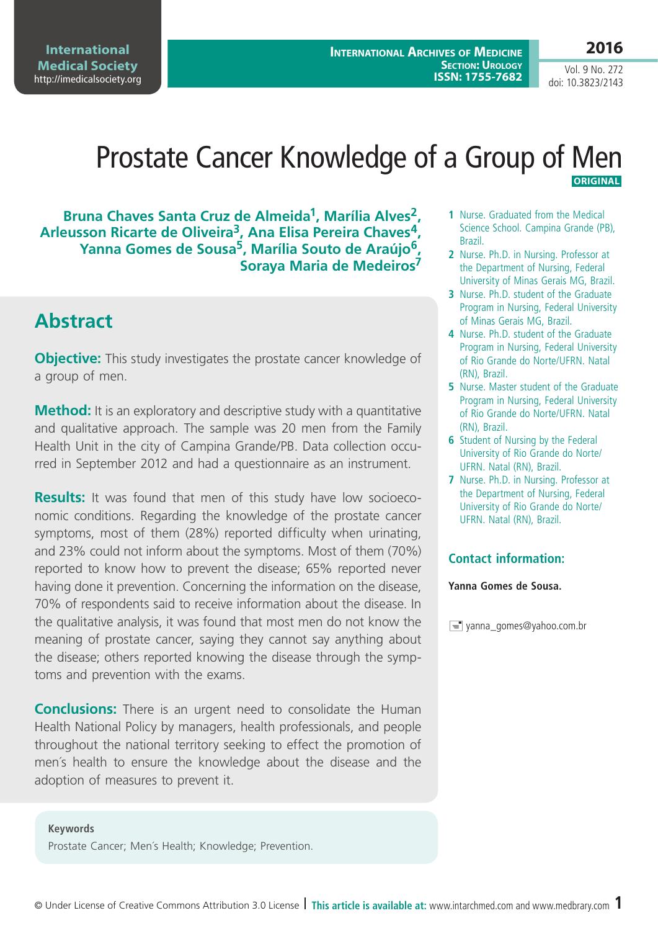**International Medical Society**  http://imedicalsociety.org

**International Archives of Medicine SECTION: UROLOGY ISSN: 1755-7682**

**2016** Vol. 9 No. 272 doi: 10.3823/2143

## Prostate Cancer Knowledge of a Group of Men  **ORIGINAL**

**Bruna Chaves Santa Cruz de Almeida1, Marília Alves2, Arleusson Ricarte de Oliveira3, Ana Elisa Pereira Chaves4, Yanna Gomes de Sousa5, Marília Souto de Araújo6, Soraya Maria de Medeiros7**

## **Abstract**

**Objective:** This study investigates the prostate cancer knowledge of a group of men.

**Method:** It is an exploratory and descriptive study with a quantitative and qualitative approach. The sample was 20 men from the Family Health Unit in the city of Campina Grande/PB. Data collection occurred in September 2012 and had a questionnaire as an instrument.

**Results:** It was found that men of this study have low socioeconomic conditions. Regarding the knowledge of the prostate cancer symptoms, most of them (28%) reported difficulty when urinating, and 23% could not inform about the symptoms. Most of them (70%) reported to know how to prevent the disease; 65% reported never having done it prevention. Concerning the information on the disease, 70% of respondents said to receive information about the disease. In the qualitative analysis, it was found that most men do not know the meaning of prostate cancer, saying they cannot say anything about the disease; others reported knowing the disease through the symptoms and prevention with the exams.

**Conclusions:** There is an urgent need to consolidate the Human Health National Policy by managers, health professionals, and people throughout the national territory seeking to effect the promotion of men´s health to ensure the knowledge about the disease and the adoption of measures to prevent it.

#### **Keywords** Prostate Cancer; Men´s Health; Knowledge; Prevention.

**1** Nurse. Graduated from the Medical Science School. Campina Grande (PB), Brazil.

- **2** Nurse. Ph.D. in Nursing. Professor at the Department of Nursing, Federal University of Minas Gerais MG, Brazil.
- **3** Nurse. Ph.D. student of the Graduate Program in Nursing, Federal University of Minas Gerais MG, Brazil.
- **4** Nurse. Ph.D. student of the Graduate Program in Nursing, Federal University of Rio Grande do Norte/UFRN. Natal (RN), Brazil.
- **5** Nurse. Master student of the Graduate Program in Nursing, Federal University of Rio Grande do Norte/UFRN. Natal (RN), Brazil.
- **6** Student of Nursing by the Federal University of Rio Grande do Norte/ UFRN. Natal (RN), Brazil.
- **7** Nurse. Ph.D. in Nursing. Professor at the Department of Nursing, Federal University of Rio Grande do Norte/ UFRN. Natal (RN), Brazil.

#### **Contact information:**

**Yanna Gomes de Sousa.**

 $\equiv$  vanna gomes@yahoo.com.br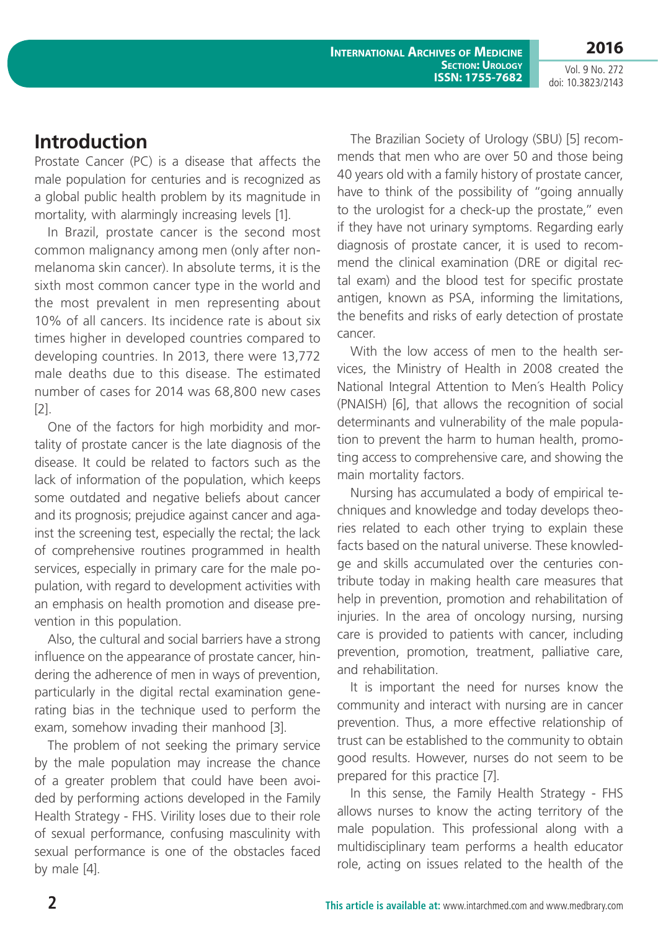**International Archives of Medicine SECTION: UROLOGY ISSN: 1755-7682**

Vol. 9 No. 272 doi: 10.3823/2143

**2016**

## **Introduction**

Prostate Cancer (PC) is a disease that affects the male population for centuries and is recognized as a global public health problem by its magnitude in mortality, with alarmingly increasing levels [1].

In Brazil, prostate cancer is the second most common malignancy among men (only after nonmelanoma skin cancer). In absolute terms, it is the sixth most common cancer type in the world and the most prevalent in men representing about 10% of all cancers. Its incidence rate is about six times higher in developed countries compared to developing countries. In 2013, there were 13,772 male deaths due to this disease. The estimated number of cases for 2014 was 68,800 new cases  $[2]$ .

One of the factors for high morbidity and mortality of prostate cancer is the late diagnosis of the disease. It could be related to factors such as the lack of information of the population, which keeps some outdated and negative beliefs about cancer and its prognosis; prejudice against cancer and against the screening test, especially the rectal; the lack of comprehensive routines programmed in health services, especially in primary care for the male population, with regard to development activities with an emphasis on health promotion and disease prevention in this population.

Also, the cultural and social barriers have a strong influence on the appearance of prostate cancer, hindering the adherence of men in ways of prevention, particularly in the digital rectal examination generating bias in the technique used to perform the exam, somehow invading their manhood [3].

The problem of not seeking the primary service by the male population may increase the chance of a greater problem that could have been avoided by performing actions developed in the Family Health Strategy - FHS. Virility loses due to their role of sexual performance, confusing masculinity with sexual performance is one of the obstacles faced by male [4].

The Brazilian Society of Urology (SBU) [5] recommends that men who are over 50 and those being 40 years old with a family history of prostate cancer, have to think of the possibility of "going annually to the urologist for a check-up the prostate," even if they have not urinary symptoms. Regarding early diagnosis of prostate cancer, it is used to recommend the clinical examination (DRE or digital rectal exam) and the blood test for specific prostate antigen, known as PSA, informing the limitations, the benefits and risks of early detection of prostate cancer.

With the low access of men to the health services, the Ministry of Health in 2008 created the National Integral Attention to Men´s Health Policy (PNAISH) [6], that allows the recognition of social determinants and vulnerability of the male population to prevent the harm to human health, promoting access to comprehensive care, and showing the main mortality factors.

Nursing has accumulated a body of empirical techniques and knowledge and today develops theories related to each other trying to explain these facts based on the natural universe. These knowledge and skills accumulated over the centuries contribute today in making health care measures that help in prevention, promotion and rehabilitation of injuries. In the area of oncology nursing, nursing care is provided to patients with cancer, including prevention, promotion, treatment, palliative care, and rehabilitation.

It is important the need for nurses know the community and interact with nursing are in cancer prevention. Thus, a more effective relationship of trust can be established to the community to obtain good results. However, nurses do not seem to be prepared for this practice [7].

In this sense, the Family Health Strategy - FHS allows nurses to know the acting territory of the male population. This professional along with a multidisciplinary team performs a health educator role, acting on issues related to the health of the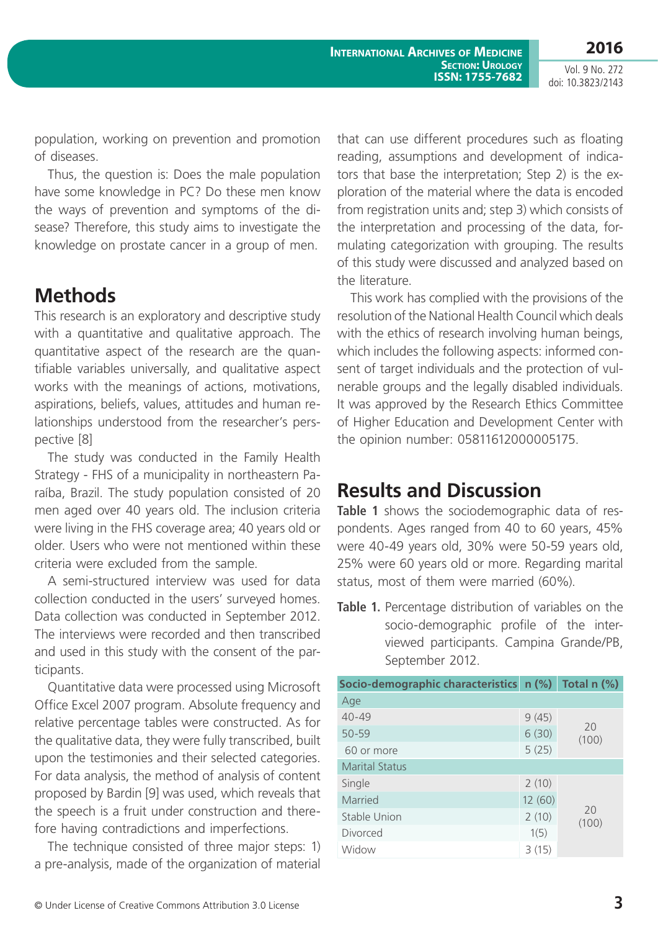population, working on prevention and promotion of diseases.

Thus, the question is: Does the male population have some knowledge in PC? Do these men know the ways of prevention and symptoms of the disease? Therefore, this study aims to investigate the knowledge on prostate cancer in a group of men.

# **Methods**

This research is an exploratory and descriptive study with a quantitative and qualitative approach. The quantitative aspect of the research are the quantifiable variables universally, and qualitative aspect works with the meanings of actions, motivations, aspirations, beliefs, values, attitudes and human relationships understood from the researcher's perspective [8]

The study was conducted in the Family Health Strategy - FHS of a municipality in northeastern Paraíba, Brazil. The study population consisted of 20 men aged over 40 years old. The inclusion criteria were living in the FHS coverage area; 40 years old or older. Users who were not mentioned within these criteria were excluded from the sample.

A semi-structured interview was used for data collection conducted in the users' surveyed homes. Data collection was conducted in September 2012. The interviews were recorded and then transcribed and used in this study with the consent of the participants.

Quantitative data were processed using Microsoft Office Excel 2007 program. Absolute frequency and relative percentage tables were constructed. As for the qualitative data, they were fully transcribed, built upon the testimonies and their selected categories. For data analysis, the method of analysis of content proposed by Bardin [9] was used, which reveals that the speech is a fruit under construction and therefore having contradictions and imperfections.

The technique consisted of three major steps: 1) a pre-analysis, made of the organization of material

that can use different procedures such as floating reading, assumptions and development of indicators that base the interpretation; Step 2) is the exploration of the material where the data is encoded from registration units and; step 3) which consists of the interpretation and processing of the data, formulating categorization with grouping. The results of this study were discussed and analyzed based on the literature.

This work has complied with the provisions of the resolution of the National Health Council which deals with the ethics of research involving human beings, which includes the following aspects: informed consent of target individuals and the protection of vulnerable groups and the legally disabled individuals. It was approved by the Research Ethics Committee of Higher Education and Development Center with the opinion number: 05811612000005175.

# **Results and Discussion**

**Table 1** shows the sociodemographic data of respondents. Ages ranged from 40 to 60 years, 45% were 40-49 years old, 30% were 50-59 years old, 25% were 60 years old or more. Regarding marital status, most of them were married (60%).

| <b>Table 1.</b> Percentage distribution of variables on the |
|-------------------------------------------------------------|
| socio-demographic profile of the inter-                     |
| viewed participants. Campina Grande/PB,                     |
| September 2012.                                             |

| Socio-demographic characteristics n (%) | Total n (%) |  |  |
|-----------------------------------------|-------------|--|--|
|                                         |             |  |  |
| 9(45)                                   | 20          |  |  |
| 6(30)<br>$50 - 59$                      |             |  |  |
| 5(25)                                   | (100)       |  |  |
|                                         |             |  |  |
| 2(10)                                   |             |  |  |
| 12(60)                                  |             |  |  |
| 2(10)                                   | 20<br>(100) |  |  |
| 1(5)                                    |             |  |  |
| 3(15)                                   |             |  |  |
|                                         |             |  |  |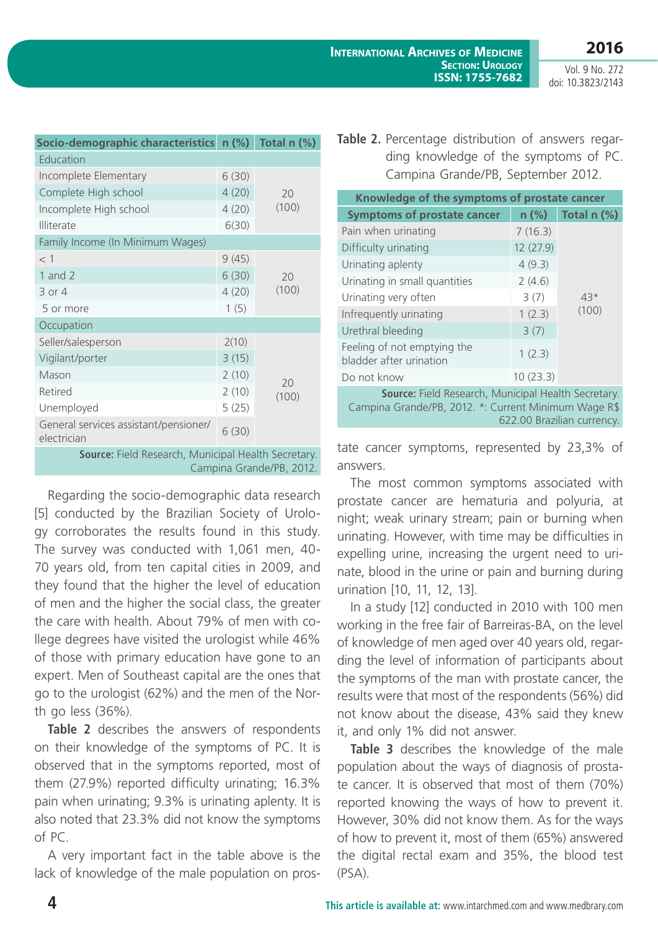| Socio-demographic characteristics n (%)              |       | Total n (%) |  |  |
|------------------------------------------------------|-------|-------------|--|--|
| Education                                            |       |             |  |  |
| Incomplete Elementary                                | 6(30) |             |  |  |
| Complete High school                                 | 4(20) | 20          |  |  |
| Incomplete High school                               | 4(20) | (100)       |  |  |
| Illiterate                                           | 6(30) |             |  |  |
| Family Income (In Minimum Wages)                     |       |             |  |  |
| $<$ 1                                                | 9(45) |             |  |  |
| 1 and 2                                              | 6(30) | 20          |  |  |
| $3$ or $4$                                           | 4(20) | (100)       |  |  |
| 5 or more                                            | 1(5)  |             |  |  |
| Occupation                                           |       |             |  |  |
| Seller/salesperson                                   | 2(10) |             |  |  |
| Vigilant/porter                                      | 3(15) |             |  |  |
| Mason                                                | 2(10) |             |  |  |
| Retired                                              | 2(10) | 20<br>(100) |  |  |
| Unemployed                                           | 5(25) |             |  |  |
| General services assistant/pensioner/<br>electrician | 6(30) |             |  |  |
| Source: Field Research, Municipal Health Secretary.  |       |             |  |  |

Campina Grande/PB, 2012.

Regarding the socio-demographic data research [5] conducted by the Brazilian Society of Urology corroborates the results found in this study. The survey was conducted with 1,061 men, 40- 70 years old, from ten capital cities in 2009, and they found that the higher the level of education of men and the higher the social class, the greater the care with health. About 79% of men with college degrees have visited the urologist while 46% of those with primary education have gone to an expert. Men of Southeast capital are the ones that go to the urologist (62%) and the men of the North go less (36%).

**Table 2** describes the answers of respondents on their knowledge of the symptoms of PC. It is observed that in the symptoms reported, most of them (27.9%) reported difficulty urinating; 16.3% pain when urinating; 9.3% is urinating aplenty. It is also noted that 23.3% did not know the symptoms of PC.

A very important fact in the table above is the lack of knowledge of the male population on pros-

### **Table 2.** Percentage distribution of answers regarding knowledge of the symptoms of PC. Campina Grande/PB, September 2012.

| Knowledge of the symptoms of prostate cancer                                                                |           |               |  |
|-------------------------------------------------------------------------------------------------------------|-----------|---------------|--|
| <b>Symptoms of prostate cancer</b>                                                                          | $n$ (%)   | Total $n$ $%$ |  |
| Pain when urinating                                                                                         | 7(16.3)   |               |  |
| Difficulty urinating                                                                                        | 12 (27.9) |               |  |
| Urinating aplenty                                                                                           | 4(9.3)    |               |  |
| Urinating in small quantities                                                                               | 2(4.6)    |               |  |
| Urinating very often                                                                                        | 3(7)      | $43*$         |  |
| Infrequently urinating                                                                                      | 1(2.3)    | (100)         |  |
| Urethral bleeding                                                                                           | 3(7)      |               |  |
| Feeling of not emptying the<br>bladder after urination                                                      | 1(2.3)    |               |  |
| Do not know                                                                                                 | 10(23.3)  |               |  |
| Source: Field Research, Municipal Health Secretary.<br>Campina Grande/PB, 2012. *: Current Minimum Wage R\$ |           |               |  |

tate cancer symptoms, represented by 23,3% of answers.

622.00 Brazilian currency.

The most common symptoms associated with prostate cancer are hematuria and polyuria, at night; weak urinary stream; pain or burning when urinating. However, with time may be difficulties in expelling urine, increasing the urgent need to urinate, blood in the urine or pain and burning during urination [10, 11, 12, 13].

In a study [12] conducted in 2010 with 100 men working in the free fair of Barreiras-BA, on the level of knowledge of men aged over 40 years old, regarding the level of information of participants about the symptoms of the man with prostate cancer, the results were that most of the respondents (56%) did not know about the disease, 43% said they knew it, and only 1% did not answer.

**Table 3** describes the knowledge of the male population about the ways of diagnosis of prostate cancer. It is observed that most of them (70%) reported knowing the ways of how to prevent it. However, 30% did not know them. As for the ways of how to prevent it, most of them (65%) answered the digital rectal exam and 35%, the blood test (PSA).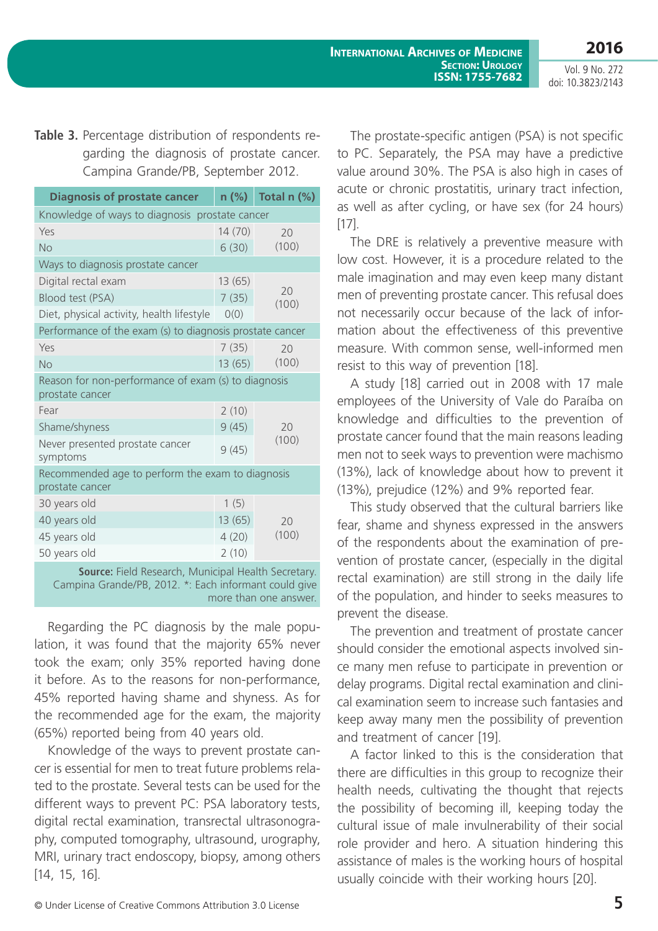**International Archives of Medicine SECTION: UROLOGY ISSN: 1755-7682**

Vol. 9 No. 272 doi: 10.3823/2143

**2016**

**Table 3.** Percentage distribution of respondents regarding the diagnosis of prostate cancer. Campina Grande/PB, September 2012.

| <b>Diagnosis of prostate cancer</b>                                                                          | $n$ (%) | Total n (%) |  |  |
|--------------------------------------------------------------------------------------------------------------|---------|-------------|--|--|
| Knowledge of ways to diagnosis prostate cancer                                                               |         |             |  |  |
| Yes                                                                                                          | 14(70)  | 20          |  |  |
| <b>No</b>                                                                                                    | 6(30)   | (100)       |  |  |
| Ways to diagnosis prostate cancer                                                                            |         |             |  |  |
| Digital rectal exam                                                                                          | 13(65)  |             |  |  |
| Blood test (PSA)                                                                                             | 7(35)   | 20<br>(100) |  |  |
| Diet, physical activity, health lifestyle                                                                    | O(0)    |             |  |  |
| Performance of the exam (s) to diagnosis prostate cancer                                                     |         |             |  |  |
| Yes                                                                                                          | 7(35)   | 20          |  |  |
| <b>No</b>                                                                                                    | 13(65)  | (100)       |  |  |
| Reason for non-performance of exam (s) to diagnosis                                                          |         |             |  |  |
| prostate cancer                                                                                              |         |             |  |  |
| Fear                                                                                                         | 2(10)   |             |  |  |
| Shame/shyness                                                                                                | 9(45)   | 20          |  |  |
| Never presented prostate cancer<br>symptoms                                                                  | 9(45)   | (100)       |  |  |
| Recommended age to perform the exam to diagnosis<br>prostate cancer                                          |         |             |  |  |
| 30 years old                                                                                                 | 1(5)    |             |  |  |
| 40 years old                                                                                                 | 13(65)  | 20          |  |  |
| 45 years old                                                                                                 | 4(20)   | (100)       |  |  |
| 50 years old                                                                                                 | 2(10)   |             |  |  |
| Source: Field Research, Municipal Health Secretary.<br>Campina Grande/PB, 2012. *: Each informant could give |         |             |  |  |

more than one answer.

Regarding the PC diagnosis by the male population, it was found that the majority 65% never took the exam; only 35% reported having done it before. As to the reasons for non-performance, 45% reported having shame and shyness. As for the recommended age for the exam, the majority (65%) reported being from 40 years old.

Knowledge of the ways to prevent prostate cancer is essential for men to treat future problems related to the prostate. Several tests can be used for the different ways to prevent PC: PSA laboratory tests, digital rectal examination, transrectal ultrasonography, computed tomography, ultrasound, urography, MRI, urinary tract endoscopy, biopsy, among others [14, 15, 16].

The prostate-specific antigen (PSA) is not specific to PC. Separately, the PSA may have a predictive value around 30%. The PSA is also high in cases of acute or chronic prostatitis, urinary tract infection, as well as after cycling, or have sex (for 24 hours) [17].

The DRE is relatively a preventive measure with low cost. However, it is a procedure related to the male imagination and may even keep many distant men of preventing prostate cancer. This refusal does not necessarily occur because of the lack of information about the effectiveness of this preventive measure. With common sense, well-informed men resist to this way of prevention [18].

A study [18] carried out in 2008 with 17 male employees of the University of Vale do Paraíba on knowledge and difficulties to the prevention of prostate cancer found that the main reasons leading men not to seek ways to prevention were machismo (13%), lack of knowledge about how to prevent it (13%), prejudice (12%) and 9% reported fear.

This study observed that the cultural barriers like fear, shame and shyness expressed in the answers of the respondents about the examination of prevention of prostate cancer, (especially in the digital rectal examination) are still strong in the daily life of the population, and hinder to seeks measures to prevent the disease.

The prevention and treatment of prostate cancer should consider the emotional aspects involved since many men refuse to participate in prevention or delay programs. Digital rectal examination and clinical examination seem to increase such fantasies and keep away many men the possibility of prevention and treatment of cancer [19].

A factor linked to this is the consideration that there are difficulties in this group to recognize their health needs, cultivating the thought that rejects the possibility of becoming ill, keeping today the cultural issue of male invulnerability of their social role provider and hero. A situation hindering this assistance of males is the working hours of hospital usually coincide with their working hours [20].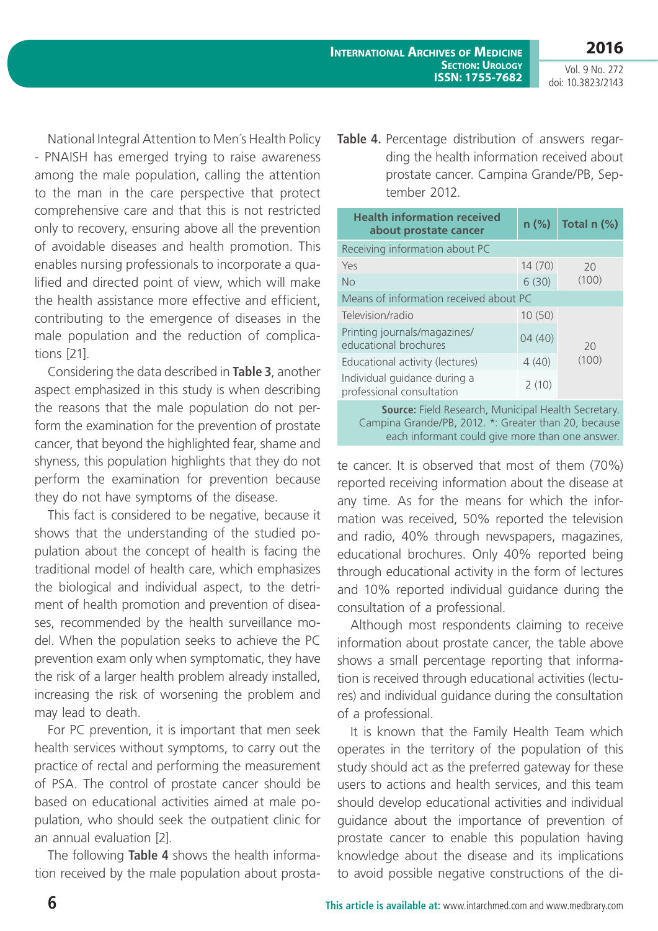National Integral Attention to Men´s Health Policy - PNAISH has emerged trying to raise awareness among the male population, calling the attention to the man in the care perspective that protect comprehensive care and that this is not restricted only to recovery, ensuring above all the prevention of avoidable diseases and health promotion. This enables nursing professionals to incorporate a qualified and directed point of view, which will make the health assistance more effective and efficient. contributing to the emergence of diseases in the male population and the reduction of complications [21].

Considering the data described in **Table 3**, another aspect emphasized in this study is when describing the reasons that the male population do not perform the examination for the prevention of prostate cancer, that beyond the highlighted fear, shame and shyness, this population highlights that they do not perform the examination for prevention because they do not have symptoms of the disease.

This fact is considered to be negative, because it shows that the understanding of the studied population about the concept of health is facing the traditional model of health care, which emphasizes the biological and individual aspect, to the detriment of health promotion and prevention of diseases, recommended by the health surveillance model. When the population seeks to achieve the PC prevention exam only when symptomatic, they have the risk of a larger health problem already installed, increasing the risk of worsening the problem and may lead to death.

For PC prevention, it is important that men seek health services without symptoms, to carry out the practice of rectal and performing the measurement of PSA. The control of prostate cancer should be based on educational activities aimed at male population, who should seek the outpatient clinic for an annual evaluation [2].

The following **Table 4** shows the health information received by the male population about prosta**Table 4.** Percentage distribution of answers regarding the health information received about prostate cancer. Campina Grande/PB, September 2012.

| <b>Health information received</b><br>about prostate cancer | $n$ (%) | Total n (%) |  |  |
|-------------------------------------------------------------|---------|-------------|--|--|
| Receiving information about PC                              |         |             |  |  |
| Yes                                                         | 14(70)  | 20          |  |  |
| No                                                          | 6(30)   | (100)       |  |  |
| Means of information received about PC                      |         |             |  |  |
| Television/radio                                            | 10(50)  |             |  |  |
| Printing journals/magazines/<br>educational brochures       | 04(40)  | 20          |  |  |
| Educational activity (lectures)                             | 4(40)   | (100)       |  |  |
| Individual guidance during a<br>professional consultation   | 2(10)   |             |  |  |
| Source: Field Research, Municinal Health Secretary          |         |             |  |  |

**Source:** Field Research, Municipal Health Secretary. Campina Grande/PB, 2012. \*: Greater than 20, because each informant could give more than one answer.

te cancer. It is observed that most of them (70%) reported receiving information about the disease at any time. As for the means for which the information was received, 50% reported the television and radio, 40% through newspapers, magazines, educational brochures. Only 40% reported being through educational activity in the form of lectures and 10% reported individual guidance during the consultation of a professional.

Although most respondents claiming to receive information about prostate cancer, the table above shows a small percentage reporting that information is received through educational activities (lectures) and individual guidance during the consultation of a professional.

It is known that the Family Health Team which operates in the territory of the population of this study should act as the preferred gateway for these users to actions and health services, and this team should develop educational activities and individual guidance about the importance of prevention of prostate cancer to enable this population having knowledge about the disease and its implications to avoid possible negative constructions of the di-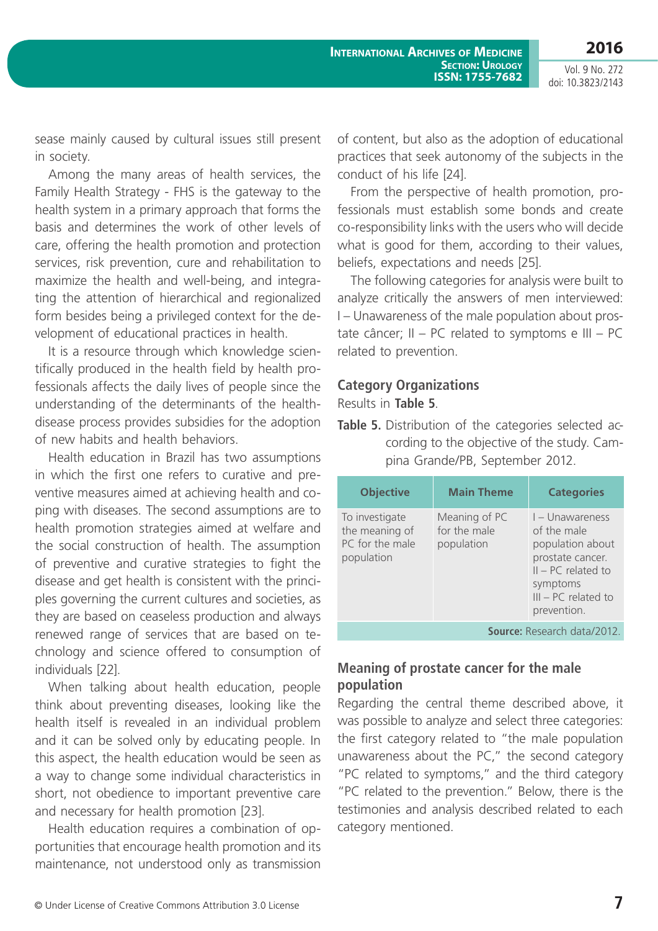sease mainly caused by cultural issues still present in society.

Among the many areas of health services, the Family Health Strategy - FHS is the gateway to the health system in a primary approach that forms the basis and determines the work of other levels of care, offering the health promotion and protection services, risk prevention, cure and rehabilitation to maximize the health and well-being, and integrating the attention of hierarchical and regionalized form besides being a privileged context for the development of educational practices in health.

It is a resource through which knowledge scientifically produced in the health field by health professionals affects the daily lives of people since the understanding of the determinants of the healthdisease process provides subsidies for the adoption of new habits and health behaviors.

Health education in Brazil has two assumptions in which the first one refers to curative and preventive measures aimed at achieving health and coping with diseases. The second assumptions are to health promotion strategies aimed at welfare and the social construction of health. The assumption of preventive and curative strategies to fight the disease and get health is consistent with the principles governing the current cultures and societies, as they are based on ceaseless production and always renewed range of services that are based on technology and science offered to consumption of individuals [22].

When talking about health education, people think about preventing diseases, looking like the health itself is revealed in an individual problem and it can be solved only by educating people. In this aspect, the health education would be seen as a way to change some individual characteristics in short, not obedience to important preventive care and necessary for health promotion [23].

Health education requires a combination of opportunities that encourage health promotion and its maintenance, not understood only as transmission of content, but also as the adoption of educational practices that seek autonomy of the subjects in the conduct of his life [24].

From the perspective of health promotion, professionals must establish some bonds and create co-responsibility links with the users who will decide what is good for them, according to their values, beliefs, expectations and needs [25].

The following categories for analysis were built to analyze critically the answers of men interviewed: I – Unawareness of the male population about prostate câncer; II – PC related to symptoms e III – PC related to prevention.

#### **Category Organizations** Results in **Table 5**.

**Table 5.** Distribution of the categories selected according to the objective of the study. Campina Grande/PB, September 2012.

| <b>Objective</b>                                                  | <b>Main Theme</b>                           | <b>Categories</b>                                                                                                                                  |
|-------------------------------------------------------------------|---------------------------------------------|----------------------------------------------------------------------------------------------------------------------------------------------------|
| To investigate<br>the meaning of<br>PC for the male<br>population | Meaning of PC<br>for the male<br>population | I - Unawareness<br>of the male<br>population about<br>prostate cancer.<br>$II - PC$ related to<br>symptoms<br>$III - PC$ related to<br>prevention. |
| <b>Source: Research data/2012.</b>                                |                                             |                                                                                                                                                    |

#### **Meaning of prostate cancer for the male population**

Regarding the central theme described above, it was possible to analyze and select three categories: the first category related to "the male population unawareness about the PC," the second category "PC related to symptoms," and the third category "PC related to the prevention." Below, there is the testimonies and analysis described related to each category mentioned.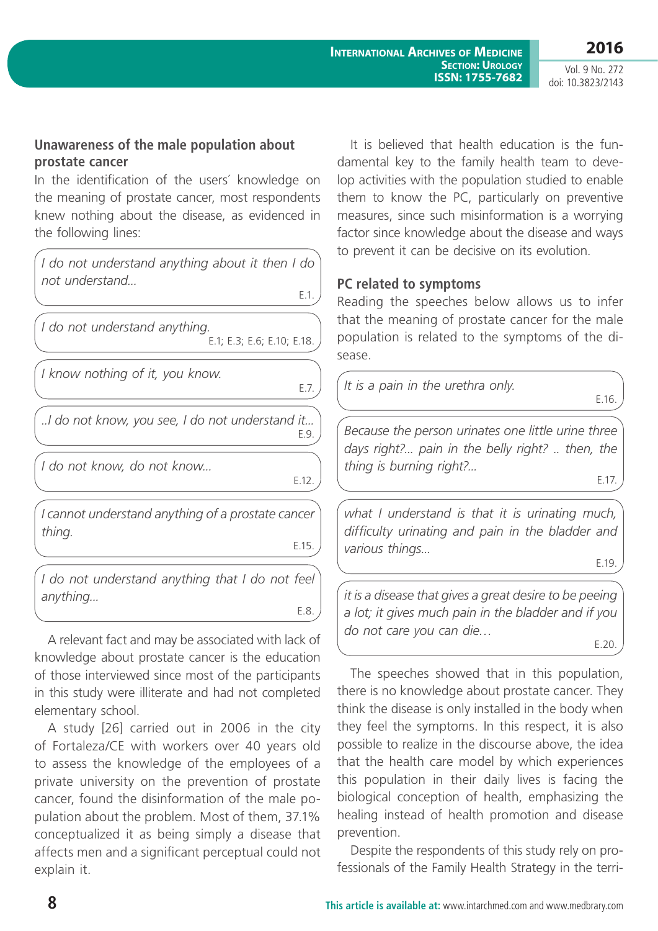#### **Unawareness of the male population about prostate cancer**

In the identification of the users´ knowledge on the meaning of prostate cancer, most respondents knew nothing about the disease, as evidenced in the following lines:

| I do not understand anything about it then I do<br>not understand |
|-------------------------------------------------------------------|
| E.1.                                                              |
| I do not understand anything.<br>E.1; E.3; E.6; E.10; E.18.       |
| I know nothing of it, you know.<br>E.7.                           |
| I do not know, you see, I do not understand it<br>E.9.            |
| I do not know, do not know<br>E.12.                               |
| I cannot understand anything of a prostate cancer<br>thing.       |
| E.15.                                                             |
| I do not understand anything that I do not feel                   |

*anything...* E.8.

A relevant fact and may be associated with lack of knowledge about prostate cancer is the education of those interviewed since most of the participants in this study were illiterate and had not completed elementary school.

A study [26] carried out in 2006 in the city of Fortaleza/CE with workers over 40 years old to assess the knowledge of the employees of a private university on the prevention of prostate cancer, found the disinformation of the male population about the problem. Most of them, 37.1% conceptualized it as being simply a disease that affects men and a significant perceptual could not explain it.

It is believed that health education is the fundamental key to the family health team to develop activities with the population studied to enable them to know the PC, particularly on preventive measures, since such misinformation is a worrying factor since knowledge about the disease and ways to prevent it can be decisive on its evolution.

## **PC related to symptoms**

Reading the speeches below allows us to infer that the meaning of prostate cancer for the male population is related to the symptoms of the disease.

|  |  |  | It is a pain in the urethra only. |  |
|--|--|--|-----------------------------------|--|
|  |  |  |                                   |  |

E.16.

*Because the person urinates one little urine three days right?... pain in the belly right? .. then, the thing is burning right?...*

E.17.

*what I understand is that it is urinating much, difficulty urinating and pain in the bladder and various things...*

E.19.

*it is a disease that gives a great desire to be peeing a lot; it gives much pain in the bladder and if you do not care you can die…*

E.20.

The speeches showed that in this population, there is no knowledge about prostate cancer. They think the disease is only installed in the body when they feel the symptoms. In this respect, it is also possible to realize in the discourse above, the idea that the health care model by which experiences this population in their daily lives is facing the biological conception of health, emphasizing the healing instead of health promotion and disease prevention.

Despite the respondents of this study rely on professionals of the Family Health Strategy in the terri-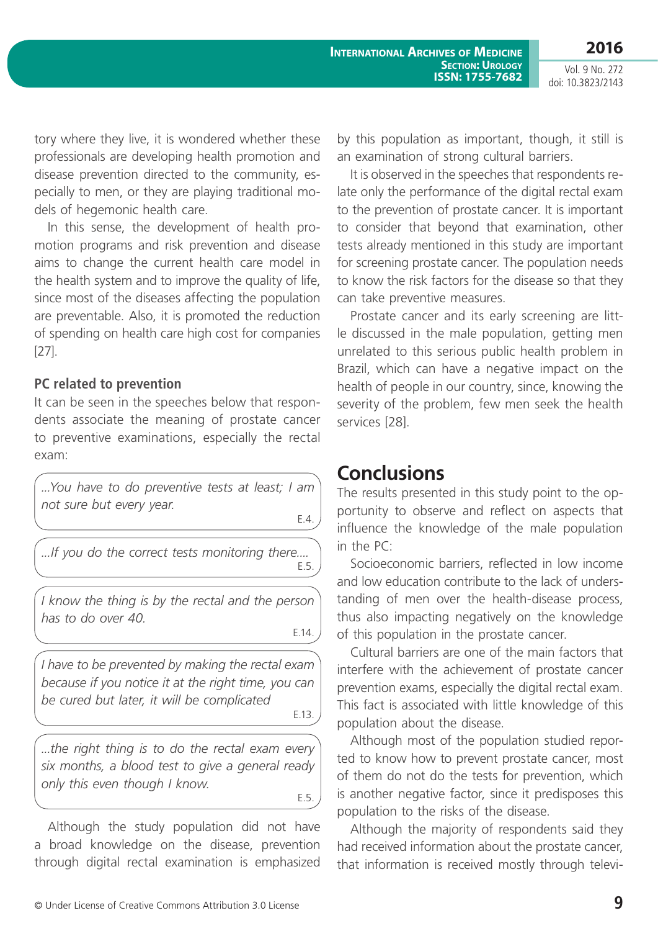**2016**

tory where they live, it is wondered whether these professionals are developing health promotion and disease prevention directed to the community, especially to men, or they are playing traditional models of hegemonic health care.

In this sense, the development of health promotion programs and risk prevention and disease aims to change the current health care model in the health system and to improve the quality of life, since most of the diseases affecting the population are preventable. Also, it is promoted the reduction of spending on health care high cost for companies [27].

#### **PC related to prevention**

It can be seen in the speeches below that respondents associate the meaning of prostate cancer to preventive examinations, especially the rectal exam:

*...You have to do preventive tests at least; I am not sure but every year.*

E.4.

*...If you do the correct tests monitoring there....* E.5.

*I know the thing is by the rectal and the person has to do over 40.*

E.14.

*I have to be prevented by making the rectal exam because if you notice it at the right time, you can be cured but later, it will be complicated* E.13.

*...the right thing is to do the rectal exam every six months, a blood test to give a general ready only this even though I know.*

E.5.

Although the study population did not have a broad knowledge on the disease, prevention through digital rectal examination is emphasized by this population as important, though, it still is an examination of strong cultural barriers.

It is observed in the speeches that respondents relate only the performance of the digital rectal exam to the prevention of prostate cancer. It is important to consider that beyond that examination, other tests already mentioned in this study are important for screening prostate cancer. The population needs to know the risk factors for the disease so that they can take preventive measures.

Prostate cancer and its early screening are little discussed in the male population, getting men unrelated to this serious public health problem in Brazil, which can have a negative impact on the health of people in our country, since, knowing the severity of the problem, few men seek the health services [28].

## **Conclusions**

The results presented in this study point to the opportunity to observe and reflect on aspects that influence the knowledge of the male population in the PC:

Socioeconomic barriers, reflected in low income and low education contribute to the lack of understanding of men over the health-disease process, thus also impacting negatively on the knowledge of this population in the prostate cancer.

Cultural barriers are one of the main factors that interfere with the achievement of prostate cancer prevention exams, especially the digital rectal exam. This fact is associated with little knowledge of this population about the disease.

Although most of the population studied reported to know how to prevent prostate cancer, most of them do not do the tests for prevention, which is another negative factor, since it predisposes this population to the risks of the disease.

Although the majority of respondents said they had received information about the prostate cancer, that information is received mostly through televi-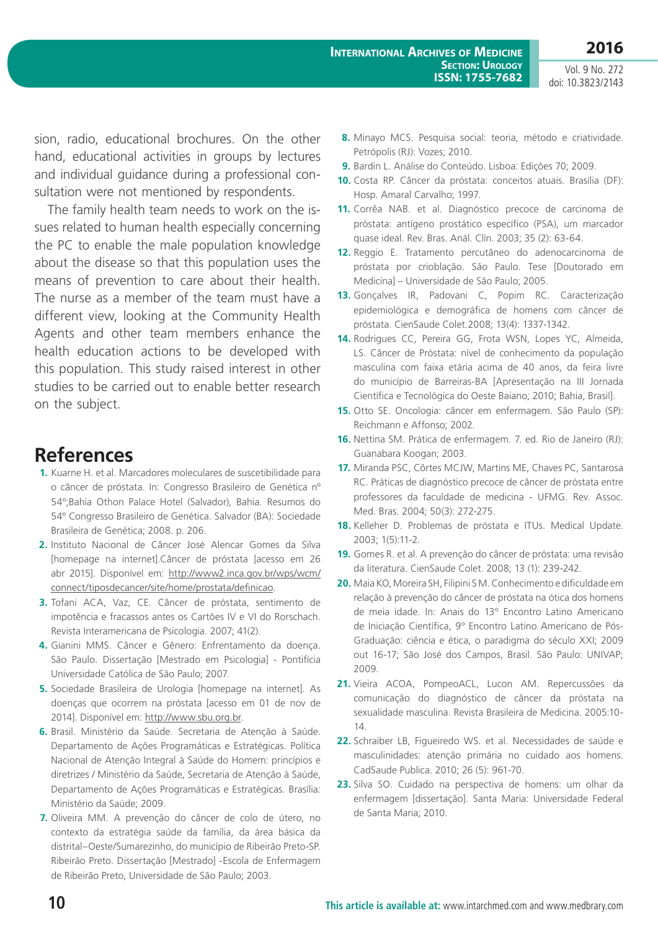sion, radio, educational brochures. On the other hand, educational activities in groups by lectures and individual guidance during a professional consultation were not mentioned by respondents.

The family health team needs to work on the issues related to human health especially concerning the PC to enable the male population knowledge about the disease so that this population uses the means of prevention to care about their health. The nurse as a member of the team must have a different view, looking at the Community Health Agents and other team members enhance the health education actions to be developed with this population. This study raised interest in other studies to be carried out to enable better research on the subject.

## **References**

- **1.** Kuarne H. et al. Marcadores moleculares de suscetibilidade para o câncer de próstata. In: Congresso Brasileiro de Genética nº 54º;Bahia Othon Palace Hotel (Salvador), Bahia. Resumos do 54º Congresso Brasileiro de Genética. Salvador (BA): Sociedade Brasileira de Genética; 2008. p. 206.
- **2.** Instituto Nacional de Câncer José Alencar Gomes da Silva [homepage na internet].Câncer de próstata [acesso em 26 abr 2015]. Disponível em: http://www2.inca.gov.br/wps/wcm/ connect/tiposdecancer/site/home/prostata/definicao.
- **3.** Tofani ACA, Vaz, CE. Câncer de próstata, sentimento de impotência e fracassos antes os Cartões IV e VI do Rorschach. Revista Interamericana de Psicologia. 2007; 41(2).
- **4.** Gianini MMS. Câncer e Gênero: Enfrentamento da doença. São Paulo. Dissertação [Mestrado em Psicologia] - Pontifícia Universidade Católica de São Paulo; 2007.
- **5.** Sociedade Brasileira de Urologia [homepage na internet]. As doenças que ocorrem na próstata [acesso em 01 de nov de 2014]. Disponível em: http://www.sbu.org.br.
- **6.** Brasil. Ministério da Saúde. Secretaria de Atenção à Saúde. Departamento de Ações Programáticas e Estratégicas. Política Nacional de Atenção Integral à Saúde do Homem: princípios e diretrizes / Ministério da Saúde, Secretaria de Atenção à Saúde, Departamento de Ações Programáticas e Estratégicas. Brasília: Ministério da Saúde; 2009.
- **7.** Oliveira MM. A prevenção do câncer de colo de útero, no contexto da estratégia saúde da família, da área básica da distrital–Oeste/Sumarezinho, do município de Ribeirão Preto-SP. Ribeirão Preto. Dissertação [Mestrado] -Escola de Enfermagem de Ribeirão Preto, Universidade de São Paulo; 2003.
- **8.** Minayo MCS. Pesquisa social: teoria, método e criatividade. Petrópolis (RJ): Vozes; 2010.
- **9.** Bardin L. Análise do Conteúdo. Lisboa: Edições 70; 2009.
- **10.** Costa RP. Câncer da próstata: conceitos atuais. Brasília (DF): Hosp. Amaral Carvalho; 1997.
- **11.** Corrêa NAB. et al. Diagnóstico precoce de carcinoma de próstata: antígeno prostático específico (PSA), um marcador quase ideal. Rev. Bras. Anál. Clín. 2003; 35 (2): 63-64.
- **12.** Reggio E. Tratamento percutâneo do adenocarcinoma de próstata por crioblação. São Paulo. Tese [Doutorado em Medicina] – Universidade de São Paulo; 2005.
- **13.** Gonçalves IR, Padovani C, Popim RC. Caracterização epidemiológica e demográfica de homens com câncer de próstata. CienSaude Colet.2008; 13(4): 1337-1342.
- **14.** Rodrigues CC, Pereira GG, Frota WSN, Lopes YC, Almeida, LS. Câncer de Próstata: nível de conhecimento da população masculina com faixa etária acima de 40 anos, da feira livre do município de Barreiras-BA [Apresentação na III Jornada Científica e Tecnológica do Oeste Baiano; 2010; Bahia, Brasil].
- **15.** Otto SE. Oncologia: câncer em enfermagem. São Paulo (SP): Reichmann e Affonso; 2002.
- **16.** Nettina SM. Prática de enfermagem. 7. ed. Rio de Janeiro (RJ): Guanabara Koogan; 2003.
- **17.** Miranda PSC, Côrtes MCJW, Martins ME, Chaves PC, Santarosa RC. Práticas de diagnóstico precoce de câncer de próstata entre professores da faculdade de medicina - UFMG. Rev. Assoc. Med. Bras. 2004; 50(3): 272-275.
- **18.** Kelleher D. Problemas de próstata e ITUs. Medical Update. 2003; 1(5):11-2.
- **19.** Gomes R. et al. A prevenção do câncer de próstata: uma revisão da literatura. CienSaude Colet. 2008; 13 (1): 239-242.
- **20.** Maia KO, Moreira SH, Filipini S M. Conhecimento e dificuldade em relação à prevenção do câncer de próstata na ótica dos homens de meia idade. In: Anais do 13º Encontro Latino Americano de Iniciação Científica, 9º Encontro Latino Americano de Pós-Graduação: ciência e ética, o paradigma do século XXI; 2009 out 16-17; São José dos Campos, Brasil. São Paulo: UNIVAP; 2009.
- **21.** Vieira ACOA, PompeoACL, Lucon AM. Repercussões da comunicação do diagnóstico de câncer da próstata na sexualidade masculina. Revista Brasileira de Medicina. 2005:10- 14.
- **22.** Schraiber LB, Figueiredo WS. et al. Necessidades de saúde e masculinidades: atenção primária no cuidado aos homens. CadSaude Publica. 2010; 26 (5): 961-70.
- **23.** Silva SO. Cuidado na perspectiva de homens: um olhar da enfermagem [dissertação]. Santa Maria: Universidade Federal de Santa Maria; 2010.